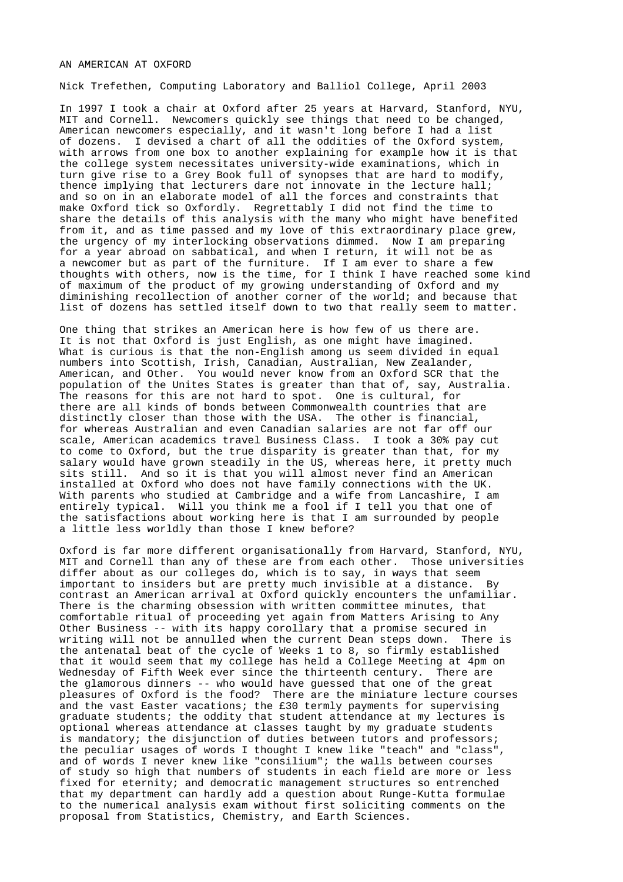## AN AMERICAN AT OXFORD

Nick Trefethen, Computing Laboratory and Balliol College, April 2003

In 1997 I took a chair at Oxford after 25 years at Harvard, Stanford, NYU, MIT and Cornell. Newcomers quickly see things that need to be changed, American newcomers especially, and it wasn't long before I had a list of dozens. I devised a chart of all the oddities of the Oxford system, with arrows from one box to another explaining for example how it is that the college system necessitates university-wide examinations, which in turn give rise to a Grey Book full of synopses that are hard to modify, thence implying that lecturers dare not innovate in the lecture hall; and so on in an elaborate model of all the forces and constraints that make Oxford tick so Oxfordly. Regrettably I did not find the time to share the details of this analysis with the many who might have benefited from it, and as time passed and my love of this extraordinary place grew, the urgency of my interlocking observations dimmed. Now I am preparing for a year abroad on sabbatical, and when I return, it will not be as a newcomer but as part of the furniture. If I am ever to share a few thoughts with others, now is the time, for I think I have reached some kind of maximum of the product of my growing understanding of Oxford and my diminishing recollection of another corner of the world; and because that list of dozens has settled itself down to two that really seem to matter.

One thing that strikes an American here is how few of us there are. It is not that Oxford is just English, as one might have imagined. What is curious is that the non-English among us seem divided in equal numbers into Scottish, Irish, Canadian, Australian, New Zealander, American, and Other. You would never know from an Oxford SCR that the population of the Unites States is greater than that of, say, Australia. The reasons for this are not hard to spot. One is cultural, for there are all kinds of bonds between Commonwealth countries that are distinctly closer than those with the USA. The other is financial, for whereas Australian and even Canadian salaries are not far off our scale, American academics travel Business Class. I took a 30% pay cut to come to Oxford, but the true disparity is greater than that, for my salary would have grown steadily in the US, whereas here, it pretty much sits still. And so it is that you will almost never find an American installed at Oxford who does not have family connections with the UK. With parents who studied at Cambridge and a wife from Lancashire, I am entirely typical. Will you think me a fool if I tell you that one of the satisfactions about working here is that I am surrounded by people a little less worldly than those I knew before?

Oxford is far more different organisationally from Harvard, Stanford, NYU, MIT and Cornell than any of these are from each other. Those universities differ about as our colleges do, which is to say, in ways that seem important to insiders but are pretty much invisible at a distance. By contrast an American arrival at Oxford quickly encounters the unfamiliar. There is the charming obsession with written committee minutes, that comfortable ritual of proceeding yet again from Matters Arising to Any Other Business -- with its happy corollary that a promise secured in writing will not be annulled when the current Dean steps down. There is the antenatal beat of the cycle of Weeks 1 to 8, so firmly established that it would seem that my college has held a College Meeting at 4pm on Wednesday of Fifth Week ever since the thirteenth century. There are the glamorous dinners -- who would have guessed that one of the great pleasures of Oxford is the food? There are the miniature lecture courses and the vast Easter vacations; the £30 termly payments for supervising graduate students; the oddity that student attendance at my lectures is optional whereas attendance at classes taught by my graduate students is mandatory; the disjunction of duties between tutors and professors; the peculiar usages of words I thought I knew like "teach" and "class", and of words I never knew like "consilium"; the walls between courses of study so high that numbers of students in each field are more or less fixed for eternity; and democratic management structures so entrenched that my department can hardly add a question about Runge-Kutta formulae to the numerical analysis exam without first soliciting comments on the proposal from Statistics, Chemistry, and Earth Sciences.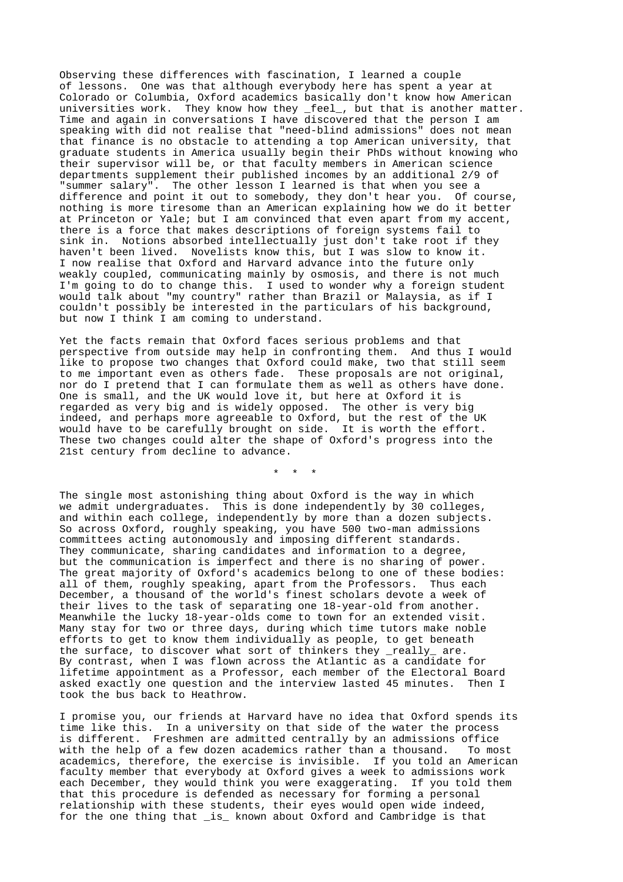Observing these differences with fascination, I learned a couple of lessons. One was that although everybody here has spent a year at Colorado or Columbia, Oxford academics basically don't know how American universities work. They know how they \_feel\_, but that is another matter. Time and again in conversations I have discovered that the person I am speaking with did not realise that "need-blind admissions" does not mean that finance is no obstacle to attending a top American university, that graduate students in America usually begin their PhDs without knowing who their supervisor will be, or that faculty members in American science departments supplement their published incomes by an additional 2/9 of "summer salary". The other lesson I learned is that when you see a difference and point it out to somebody, they don't hear you. Of course, nothing is more tiresome than an American explaining how we do it better at Princeton or Yale; but I am convinced that even apart from my accent, there is a force that makes descriptions of foreign systems fail to sink in. Notions absorbed intellectually just don't take root if they haven't been lived. Novelists know this, but I was slow to know it. I now realise that Oxford and Harvard advance into the future only weakly coupled, communicating mainly by osmosis, and there is not much I'm going to do to change this. I used to wonder why a foreign student would talk about "my country" rather than Brazil or Malaysia, as if I couldn't possibly be interested in the particulars of his background, but now I think I am coming to understand.

Yet the facts remain that Oxford faces serious problems and that perspective from outside may help in confronting them. And thus I would like to propose two changes that Oxford could make, two that still seem to me important even as others fade. These proposals are not original, nor do I pretend that I can formulate them as well as others have done. One is small, and the UK would love it, but here at Oxford it is regarded as very big and is widely opposed. The other is very big indeed, and perhaps more agreeable to Oxford, but the rest of the UK would have to be carefully brought on side. It is worth the effort. These two changes could alter the shape of Oxford's progress into the 21st century from decline to advance.

\* \* \*

The single most astonishing thing about Oxford is the way in which we admit undergraduates. This is done independently by 30 colleges, and within each college, independently by more than a dozen subjects. So across Oxford, roughly speaking, you have 500 two-man admissions committees acting autonomously and imposing different standards. They communicate, sharing candidates and information to a degree, but the communication is imperfect and there is no sharing of power. The great majority of Oxford's academics belong to one of these bodies: all of them, roughly speaking, apart from the Professors. Thus each December, a thousand of the world's finest scholars devote a week of their lives to the task of separating one 18-year-old from another. Meanwhile the lucky 18-year-olds come to town for an extended visit. Many stay for two or three days, during which time tutors make noble efforts to get to know them individually as people, to get beneath the surface, to discover what sort of thinkers they \_really\_ are. By contrast, when I was flown across the Atlantic as a candidate for lifetime appointment as a Professor, each member of the Electoral Board asked exactly one question and the interview lasted 45 minutes. Then I took the bus back to Heathrow.

I promise you, our friends at Harvard have no idea that Oxford spends its time like this. In a university on that side of the water the process is different. Freshmen are admitted centrally by an admissions office<br>with the help of a few dozen academics rather than a thousand. To most with the help of a few dozen academics rather than a thousand. academics, therefore, the exercise is invisible. If you told an American faculty member that everybody at Oxford gives a week to admissions work each December, they would think you were exaggerating. If you told them that this procedure is defended as necessary for forming a personal relationship with these students, their eyes would open wide indeed, for the one thing that \_is\_ known about Oxford and Cambridge is that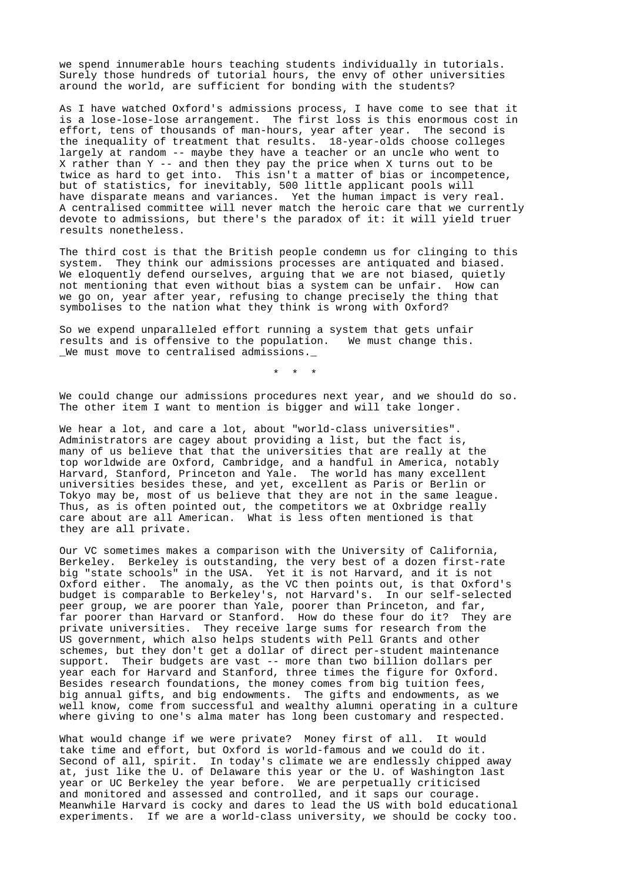we spend innumerable hours teaching students individually in tutorials. Surely those hundreds of tutorial hours, the envy of other universities around the world, are sufficient for bonding with the students?

As I have watched Oxford's admissions process, I have come to see that it is a lose-lose-lose arrangement. The first loss is this enormous cost in effort, tens of thousands of man-hours, year after year. The second is the inequality of treatment that results. 18-year-olds choose colleges largely at random -- maybe they have a teacher or an uncle who went to X rather than Y -- and then they pay the price when X turns out to be twice as hard to get into. This isn't a matter of bias or incompetence, but of statistics, for inevitably, 500 little applicant pools will have disparate means and variances. Yet the human impact is very real. A centralised committee will never match the heroic care that we currently devote to admissions, but there's the paradox of it: it will yield truer results nonetheless.

The third cost is that the British people condemn us for clinging to this system. They think our admissions processes are antiquated and biased. We eloquently defend ourselves, arguing that we are not biased, quietly not mentioning that even without bias a system can be unfair. How can we go on, year after year, refusing to change precisely the thing that symbolises to the nation what they think is wrong with Oxford?

So we expend unparalleled effort running a system that gets unfair results and is offensive to the population. We must change this. We must move to centralised admissions.

\* \* \*

We could change our admissions procedures next year, and we should do so. The other item I want to mention is bigger and will take longer.

We hear a lot, and care a lot, about "world-class universities". Administrators are cagey about providing a list, but the fact is, many of us believe that that the universities that are really at the top worldwide are Oxford, Cambridge, and a handful in America, notably Harvard, Stanford, Princeton and Yale. The world has many excellent universities besides these, and yet, excellent as Paris or Berlin or Tokyo may be, most of us believe that they are not in the same league. Thus, as is often pointed out, the competitors we at Oxbridge really care about are all American. What is less often mentioned is that they are all private.

Our VC sometimes makes a comparison with the University of California, Berkeley. Berkeley is outstanding, the very best of a dozen first-rate big "state schools" in the USA. Yet it is not Harvard, and it is not Oxford either. The anomaly, as the VC then points out, is that Oxford's budget is comparable to Berkeley's, not Harvard's. In our self-selected peer group, we are poorer than Yale, poorer than Princeton, and far, far poorer than Harvard or Stanford. How do these four do it? They are private universities. They receive large sums for research from the US government, which also helps students with Pell Grants and other schemes, but they don't get a dollar of direct per-student maintenance support. Their budgets are vast -- more than two billion dollars per year each for Harvard and Stanford, three times the figure for Oxford. Besides research foundations, the money comes from big tuition fees, big annual gifts, and big endowments. The gifts and endowments, as we well know, come from successful and wealthy alumni operating in a culture where giving to one's alma mater has long been customary and respected.

What would change if we were private? Money first of all. It would take time and effort, but Oxford is world-famous and we could do it. Second of all, spirit. In today's climate we are endlessly chipped away at, just like the U. of Delaware this year or the U. of Washington last year or UC Berkeley the year before. We are perpetually criticised and monitored and assessed and controlled, and it saps our courage. Meanwhile Harvard is cocky and dares to lead the US with bold educational experiments. If we are a world-class university, we should be cocky too.